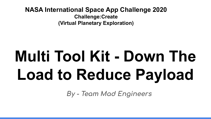**NASA International Space App Challenge 2020 Challenge:Create (Virtual Planetary Exploration)**

# **Multi Tool Kit - Down The Load to Reduce Payload**

**By - Team Mad Engineers**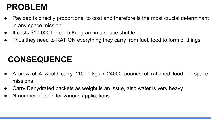## **PROBLEM**

- Payload is directly proportional to cost and therefore is the most crucial determinant in any space mission.
- It costs \$10,000 for each Kilogram in a space shuttle.
- Thus they need to RATION everything they carry from fuel, food to form of things

## **CONSEQUENCE**

- A crew of 4 would carry 11000 kgs / 24000 pounds of rationed food on space missions
- Carry Dehydrated packets as weight is an issue, also water is very heavy
- N-number of tools for various applications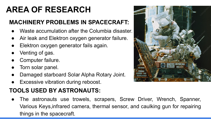## **AREA OF RESEARCH**

#### **MACHINERY PROBLEMS IN SPACECRAFT:**

- Waste accumulation after the Columbia disaster.
- Air leak and Elektron oxygen generator failure.
- Elektron oxygen generator fails again.
- Venting of gas.
- Computer failure.
- Torn solar panel.
- Damaged starboard Solar Alpha Rotary Joint.
- Excessive vibration during reboost.

#### **TOOLS USED BY ASTRONAUTS:**

The astronauts use trowels, scrapers, Screw Driver, Wrench, Spanner, Various Keys,infrared camera, thermal sensor, and caulking gun for repairing things in the spacecraft.

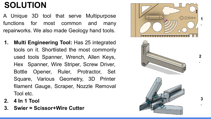## **SOLUTION**

A Unique 3D tool that serve Multipurpose functions for most common and many repairworks. We also made Geology hand tools.

- **1. Multi Engineering Tool:** Has 25 integrated tools on it. Shortlisted the most commonly used tools Spanner, Wrench, Allen Keys, Hex Spanner, Wire Striper, Screw Driver, Bottle Opener, Ruler, Protractor, Set Square, Various Geometry, 3D Printer filament Gauge, Scraper, Nozzle Removal Tool etc.
- **2. 4 In 1 Tool**
- **3. Swier = Scissor+Wire Cutter**





 $\mathbf{2}$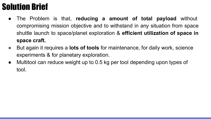# Solution Brief

- The Problem is that, **reducing a amount of total payload** without compromising mission objective and to withstand in any situation from space shuttle launch to space/planet exploration & **efficient utilization of space in space craft.**
- But again it requires a **lots of tools** for maintenance, for daily work, science experiments & for planetary exploration.
- Multitool can reduce weight up to 0.5 kg per tool depending upon types of tool.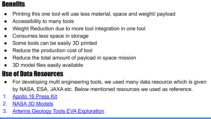#### **Benefits**

- Printing this one tool will use less material, space and weight/ payload
- Accessibility to many tools
- Weight Reduction due to more tool integration in one tool
- Consumes less space in storage
- Some tools can be easily 3D printed
- Reduce the production cost of tool
- Reduce the total amount of payload in space mission
- 3D model files easily available

#### Use of Data Resources

- For developing multi engineering tools, we used many data resource which is given by NASA, ESA, JAXA etc. Below mentioned resources we used as reference.
- 1. [Apollo 16 Press Kit](https://www.nasa.gov/specials/apollo50th/pdf/A16_PressKit.pdf)
- 2. [NASA 3D Models](https://nasa3d.arc.nasa.gov/models)
- 3. [Artemis Geology Tools EVA Exploration](https://www.nasa.gov/sites/default/files/atoms/files/topic_5_initial_artemis_geology_sampling_tools.pdf)